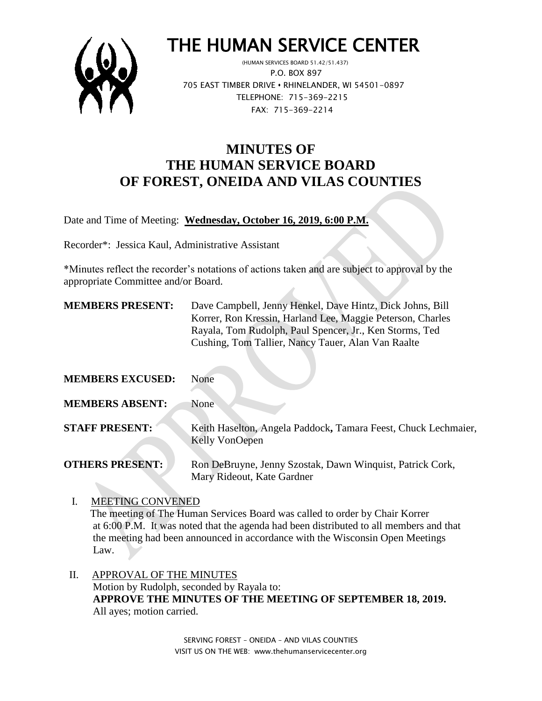

# THE HUMAN SERVICE CENTER

 (HUMAN SERVICES BOARD 51.42/51.437) P.O. BOX 897 705 EAST TIMBER DRIVE **•** RHINELANDER, WI 54501-0897 TELEPHONE: 715-369-2215 FAX: 715-369-2214

# **MINUTES OF THE HUMAN SERVICE BOARD OF FOREST, ONEIDA AND VILAS COUNTIES**

Date and Time of Meeting: **Wednesday, October 16, 2019, 6:00 P.M.**

Recorder\*: Jessica Kaul, Administrative Assistant

\*Minutes reflect the recorder's notations of actions taken and are subject to approval by the appropriate Committee and/or Board.

 $\mathcal{A}$ 

| <b>MEMBERS PRESENT:</b> | Dave Campbell, Jenny Henkel, Dave Hintz, Dick Johns, Bill<br>Korrer, Ron Kressin, Harland Lee, Maggie Peterson, Charles<br>Rayala, Tom Rudolph, Paul Spencer, Jr., Ken Storms, Ted<br>Cushing, Tom Tallier, Nancy Tauer, Alan Van Raalte |
|-------------------------|------------------------------------------------------------------------------------------------------------------------------------------------------------------------------------------------------------------------------------------|
| <b>MEMBERS EXCUSED:</b> | None                                                                                                                                                                                                                                     |
| <b>MEMBERS ABSENT:</b>  | None                                                                                                                                                                                                                                     |
| <b>STAFF PRESENT:</b>   | Keith Haselton, Angela Paddock, Tamara Feest, Chuck Lechmaier,<br>Kelly VonOepen                                                                                                                                                         |
| <b>OTHERS PRESENT:</b>  | Ron DeBruyne, Jenny Szostak, Dawn Winquist, Patrick Cork,<br>Mary Rideout, Kate Gardner                                                                                                                                                  |

I. MEETING CONVENED

 The meeting of The Human Services Board was called to order by Chair Korrer at 6:00 P.M. It was noted that the agenda had been distributed to all members and that the meeting had been announced in accordance with the Wisconsin Open Meetings Law.

 II. APPROVAL OF THE MINUTES Motion by Rudolph, seconded by Rayala to: **APPROVE THE MINUTES OF THE MEETING OF SEPTEMBER 18, 2019.** All ayes; motion carried.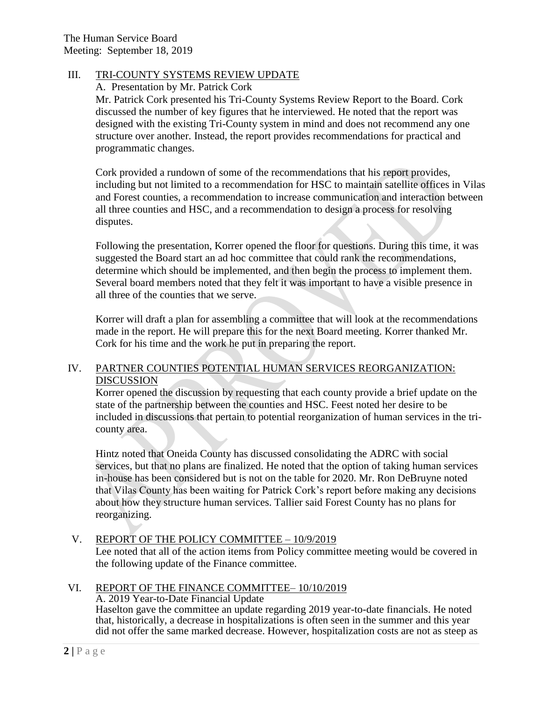# III. TRI-COUNTY SYSTEMS REVIEW UPDATE

A. Presentation by Mr. Patrick Cork

Mr. Patrick Cork presented his Tri-County Systems Review Report to the Board. Cork discussed the number of key figures that he interviewed. He noted that the report was designed with the existing Tri-County system in mind and does not recommend any one structure over another. Instead, the report provides recommendations for practical and programmatic changes.

Cork provided a rundown of some of the recommendations that his report provides, including but not limited to a recommendation for HSC to maintain satellite offices in Vilas and Forest counties, a recommendation to increase communication and interaction between all three counties and HSC, and a recommendation to design a process for resolving disputes.

Following the presentation, Korrer opened the floor for questions. During this time, it was suggested the Board start an ad hoc committee that could rank the recommendations, determine which should be implemented, and then begin the process to implement them. Several board members noted that they felt it was important to have a visible presence in all three of the counties that we serve.

Korrer will draft a plan for assembling a committee that will look at the recommendations made in the report. He will prepare this for the next Board meeting. Korrer thanked Mr. Cork for his time and the work he put in preparing the report.

# IV. PARTNER COUNTIES POTENTIAL HUMAN SERVICES REORGANIZATION: DISCUSSION

Korrer opened the discussion by requesting that each county provide a brief update on the state of the partnership between the counties and HSC. Feest noted her desire to be included in discussions that pertain to potential reorganization of human services in the tricounty area.

Hintz noted that Oneida County has discussed consolidating the ADRC with social services, but that no plans are finalized. He noted that the option of taking human services in-house has been considered but is not on the table for 2020. Mr. Ron DeBruyne noted that Vilas County has been waiting for Patrick Cork's report before making any decisions about how they structure human services. Tallier said Forest County has no plans for reorganizing.

# V. REPORT OF THE POLICY COMMITTEE – 10/9/2019

Lee noted that all of the action items from Policy committee meeting would be covered in the following update of the Finance committee.

# VI. REPORT OF THE FINANCE COMMITTEE– 10/10/2019

# A. 2019 Year-to-Date Financial Update

Haselton gave the committee an update regarding 2019 year-to-date financials. He noted that, historically, a decrease in hospitalizations is often seen in the summer and this year did not offer the same marked decrease. However, hospitalization costs are not as steep as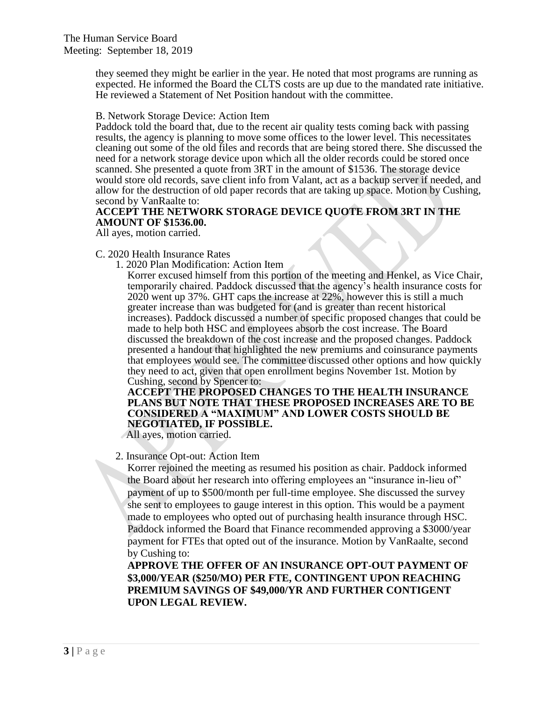they seemed they might be earlier in the year. He noted that most programs are running as expected. He informed the Board the CLTS costs are up due to the mandated rate initiative. He reviewed a Statement of Net Position handout with the committee.

B. Network Storage Device: Action Item

Paddock told the board that, due to the recent air quality tests coming back with passing results, the agency is planning to move some offices to the lower level. This necessitates cleaning out some of the old files and records that are being stored there. She discussed the need for a network storage device upon which all the older records could be stored once scanned. She presented a quote from 3RT in the amount of \$1536. The storage device would store old records, save client info from Valant, act as a backup server if needed, and allow for the destruction of old paper records that are taking up space. Motion by Cushing, second by VanRaalte to:

# **ACCEPT THE NETWORK STORAGE DEVICE QUOTE FROM 3RT IN THE AMOUNT OF \$1536.00.**

All ayes, motion carried.

#### C. 2020 Health Insurance Rates

1. 2020 Plan Modification: Action Item

Korrer excused himself from this portion of the meeting and Henkel, as Vice Chair, temporarily chaired. Paddock discussed that the agency's health insurance costs for 2020 went up 37%. GHT caps the increase at 22%, however this is still a much greater increase than was budgeted for (and is greater than recent historical increases). Paddock discussed a number of specific proposed changes that could be made to help both HSC and employees absorb the cost increase. The Board discussed the breakdown of the cost increase and the proposed changes. Paddock presented a handout that highlighted the new premiums and coinsurance payments that employees would see. The committee discussed other options and how quickly they need to act, given that open enrollment begins November 1st. Motion by Cushing, second by Spencer to:

**ACCEPT THE PROPOSED CHANGES TO THE HEALTH INSURANCE PLANS BUT NOTE THAT THESE PROPOSED INCREASES ARE TO BE CONSIDERED A "MAXIMUM" AND LOWER COSTS SHOULD BE NEGOTIATED, IF POSSIBLE.** 

All ayes, motion carried.

2. Insurance Opt-out: Action Item

Korrer rejoined the meeting as resumed his position as chair. Paddock informed the Board about her research into offering employees an "insurance in-lieu of" payment of up to \$500/month per full-time employee. She discussed the survey she sent to employees to gauge interest in this option. This would be a payment made to employees who opted out of purchasing health insurance through HSC. Paddock informed the Board that Finance recommended approving a \$3000/year payment for FTEs that opted out of the insurance. Motion by VanRaalte, second by Cushing to:

**APPROVE THE OFFER OF AN INSURANCE OPT-OUT PAYMENT OF \$3,000/YEAR (\$250/MO) PER FTE, CONTINGENT UPON REACHING PREMIUM SAVINGS OF \$49,000/YR AND FURTHER CONTIGENT UPON LEGAL REVIEW.**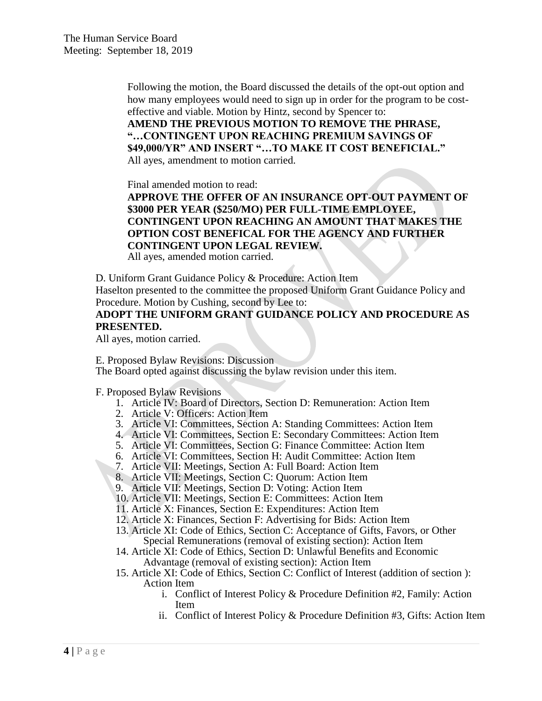Following the motion, the Board discussed the details of the opt-out option and how many employees would need to sign up in order for the program to be costeffective and viable. Motion by Hintz, second by Spencer to:

**AMEND THE PREVIOUS MOTION TO REMOVE THE PHRASE, "…CONTINGENT UPON REACHING PREMIUM SAVINGS OF \$49,000/YR" AND INSERT "…TO MAKE IT COST BENEFICIAL."** All ayes, amendment to motion carried.

Final amended motion to read:

**APPROVE THE OFFER OF AN INSURANCE OPT-OUT PAYMENT OF \$3000 PER YEAR (\$250/MO) PER FULL-TIME EMPLOYEE, CONTINGENT UPON REACHING AN AMOUNT THAT MAKES THE OPTION COST BENEFICAL FOR THE AGENCY AND FURTHER CONTINGENT UPON LEGAL REVIEW.** All ayes, amended motion carried.

D. Uniform Grant Guidance Policy & Procedure: Action Item

Haselton presented to the committee the proposed Uniform Grant Guidance Policy and Procedure. Motion by Cushing, second by Lee to:

# **ADOPT THE UNIFORM GRANT GUIDANCE POLICY AND PROCEDURE AS PRESENTED.**

All ayes, motion carried.

E. Proposed Bylaw Revisions: Discussion

The Board opted against discussing the bylaw revision under this item.

F. Proposed Bylaw Revisions

- 1. Article IV: Board of Directors, Section D: Remuneration: Action Item
- 2. Article V: Officers: Action Item
- 3. Article VI: Committees, Section A: Standing Committees: Action Item
- 4. Article VI: Committees, Section E: Secondary Committees: Action Item
- 5. Article VI: Committees, Section G: Finance Committee: Action Item
- 6. Article VI: Committees, Section H: Audit Committee: Action Item
- 7. Article VII: Meetings, Section A: Full Board: Action Item
- 8. Article VII: Meetings, Section C: Quorum: Action Item
- 9. Article VII: Meetings, Section D: Voting: Action Item
- 10. Article VII: Meetings, Section E: Committees: Action Item
- 11. Article X: Finances, Section E: Expenditures: Action Item
- 12. Article X: Finances, Section F: Advertising for Bids: Action Item
- 13. Article XI: Code of Ethics, Section C: Acceptance of Gifts, Favors, or Other Special Remunerations (removal of existing section): Action Item
- 14. Article XI: Code of Ethics, Section D: Unlawful Benefits and Economic Advantage (removal of existing section): Action Item
- 15. Article XI: Code of Ethics, Section C: Conflict of Interest (addition of section ): Action Item
	- i. Conflict of Interest Policy & Procedure Definition #2, Family: Action Item
	- ii. Conflict of Interest Policy & Procedure Definition #3, Gifts: Action Item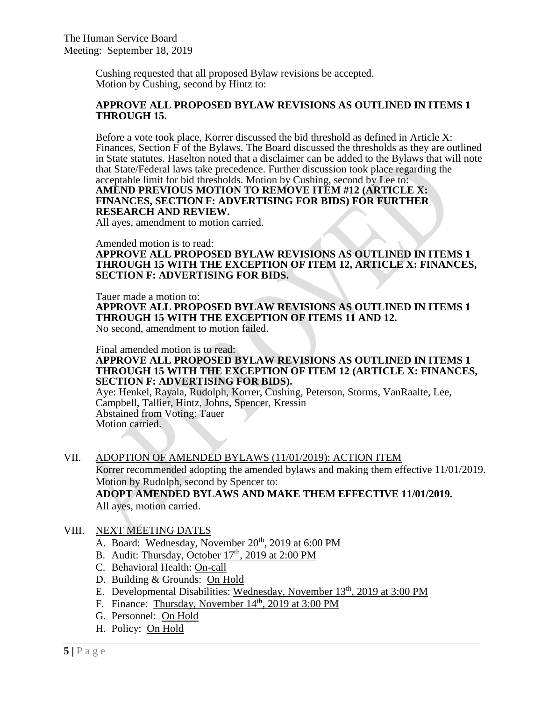Cushing requested that all proposed Bylaw revisions be accepted. Motion by Cushing, second by Hintz to:

#### **APPROVE ALL PROPOSED BYLAW REVISIONS AS OUTLINED IN ITEMS 1 THROUGH 15.**

Before a vote took place, Korrer discussed the bid threshold as defined in Article X: Finances, Section  $\overline{F}$  of the Bylaws. The Board discussed the thresholds as they are outlined in State statutes. Haselton noted that a disclaimer can be added to the Bylaws that will note that State/Federal laws take precedence. Further discussion took place regarding the acceptable limit for bid thresholds. Motion by Cushing, second by Lee to: **AMEND PREVIOUS MOTION TO REMOVE ITEM #12 (ARTICLE X: FINANCES, SECTION F: ADVERTISING FOR BIDS) FOR FURTHER RESEARCH AND REVIEW.** 

All ayes, amendment to motion carried.

#### Amended motion is to read:

**APPROVE ALL PROPOSED BYLAW REVISIONS AS OUTLINED IN ITEMS 1 THROUGH 15 WITH THE EXCEPTION OF ITEM 12, ARTICLE X: FINANCES, SECTION F: ADVERTISING FOR BIDS.** 

Tauer made a motion to:

**APPROVE ALL PROPOSED BYLAW REVISIONS AS OUTLINED IN ITEMS 1 THROUGH 15 WITH THE EXCEPTION OF ITEMS 11 AND 12.** No second, amendment to motion failed.

# Final amended motion is to read:

#### **APPROVE ALL PROPOSED BYLAW REVISIONS AS OUTLINED IN ITEMS 1 THROUGH 15 WITH THE EXCEPTION OF ITEM 12 (ARTICLE X: FINANCES, SECTION F: ADVERTISING FOR BIDS).**

Aye: Henkel, Rayala, Rudolph, Korrer, Cushing, Peterson, Storms, VanRaalte, Lee, Campbell, Tallier, Hintz, Johns, Spencer, Kressin Abstained from Voting: Tauer Motion carried.

# VII. ADOPTION OF AMENDED BYLAWS (11/01/2019): ACTION ITEM

Korrer recommended adopting the amended bylaws and making them effective 11/01/2019. Motion by Rudolph, second by Spencer to:

**ADOPT AMENDED BYLAWS AND MAKE THEM EFFECTIVE 11/01/2019.**  All ayes, motion carried.

# VIII. NEXT MEETING DATES

- A. Board: Wednesday, November 20<sup>th</sup>, 2019 at 6:00 PM
- B. Audit: Thursday, October  $17<sup>th</sup>$ , 2019 at 2:00 PM
- C. Behavioral Health: On-call
- D. Building & Grounds: On Hold
- E. Developmental Disabilities: Wednesday, November 13<sup>th</sup>, 2019 at 3:00 PM
- F. Finance: Thursday, November  $14<sup>th</sup>$ , 2019 at 3:00 PM
- G. Personnel: On Hold
- H. Policy: On Hold